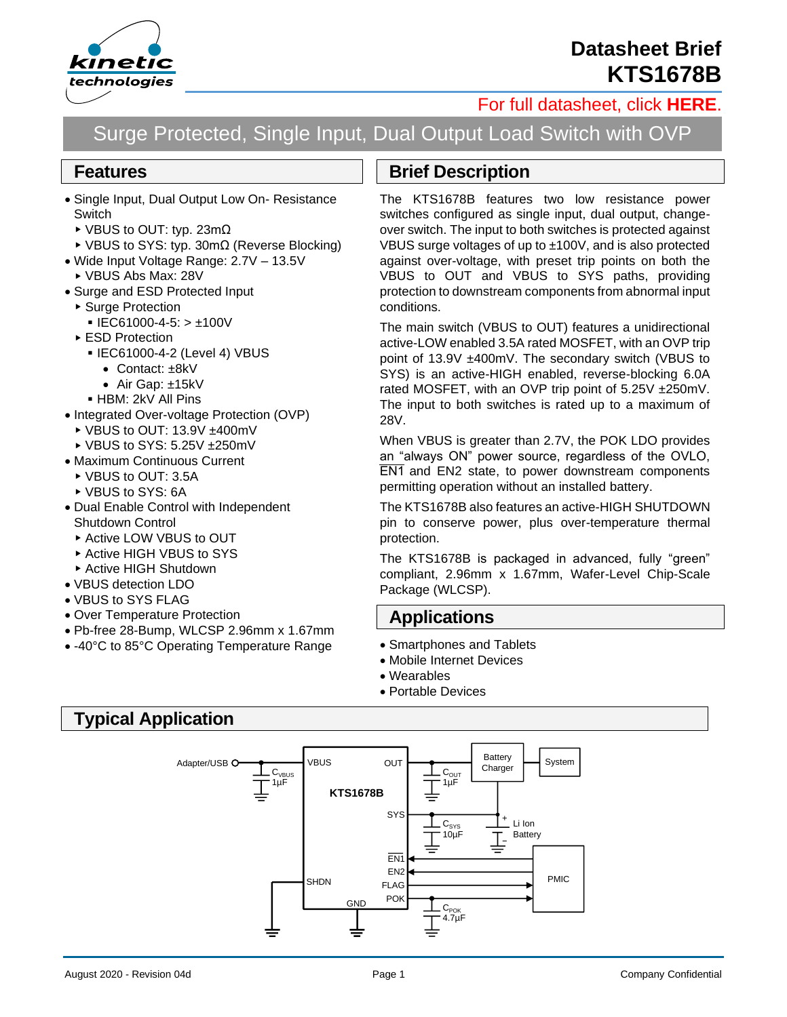

## **Datasheet Brief KTS1678B**

### [For full datasheet, click](https://www.kinet-ic.com/sample-buy/request-document/?part=KTS1678B%20Full%20Datasheet) **HERE**.

# Surge Protected, Single Input, Dual Output Load Switch with OVP

#### **Features**

- Single Input, Dual Output Low On- Resistance **Switch** 
	- VBUS to OUT: typ. 23mΩ
	- VBUS to SYS: typ. 30mΩ (Reverse Blocking)
- Wide Input Voltage Range: 2.7V 13.5V VBUS Abs Max: 28V
- 
- Surge and ESD Protected Input ▶ Surge Protection
	- $\blacksquare$  IEC61000-4-5:  $> \pm 100$ V
	- ▶ ESD Protection
		- IEC61000-4-2 (Level 4) VBUS
			- Contact: ±8kV
			- Air Gap: ±15kV
		- HBM: 2kV All Pins
- Integrated Over-voltage Protection (OVP)
	- ▶ VBUS to OUT: 13.9V ±400mV
- ▶ VBUS to SYS: 5.25V +250mV
- Maximum Continuous Current
	- ▶ VBUS to OUT: 3.5A
- ▶ VBUS to SYS: 6A
- Dual Enable Control with Independent Shutdown Control
	- ▶ Active LOW VBUS to OUT
	- ▶ Active HIGH VBUS to SYS
- ▶ Active HIGH Shutdown
- VBUS detection LDO
- VBUS to SYS FLAG
- Over Temperature Protection
- Pb-free 28-Bump, WLCSP 2.96mm x 1.67mm
- -40°C to 85°C Operating Temperature Range

#### **Brief Description**

The KTS1678B features two low resistance power switches configured as single input, dual output, changeover switch. The input to both switches is protected against VBUS surge voltages of up to ±100V, and is also protected against over-voltage, with preset trip points on both the VBUS to OUT and VBUS to SYS paths, providing protection to downstream components from abnormal input conditions.

The main switch (VBUS to OUT) features a unidirectional active-LOW enabled 3.5A rated MOSFET, with an OVP trip point of 13.9V ±400mV. The secondary switch (VBUS to SYS) is an active-HIGH enabled, reverse-blocking 6.0A rated MOSFET, with an OVP trip point of 5.25V ± 250mV. The input to both switches is rated up to a maximum of 28V.

When VBUS is greater than 2.7V, the POK LDO provides an "always ON" power source, regardless of the OVLO, **EN1** and EN2 state, to power downstream components permitting operation without an installed battery.

The KTS1678B also features an active-HIGH SHUTDOWN pin to conserve power, plus over-temperature thermal protection.

The KTS1678B is packaged in advanced, fully "green" compliant, 2.96mm x 1.67mm, Wafer-Level Chip-Scale Package (WLCSP).

#### **Applications**

- Smartphones and Tablets
- Mobile Internet Devices
- Wearables
- Portable Devices

#### **Typical Application**